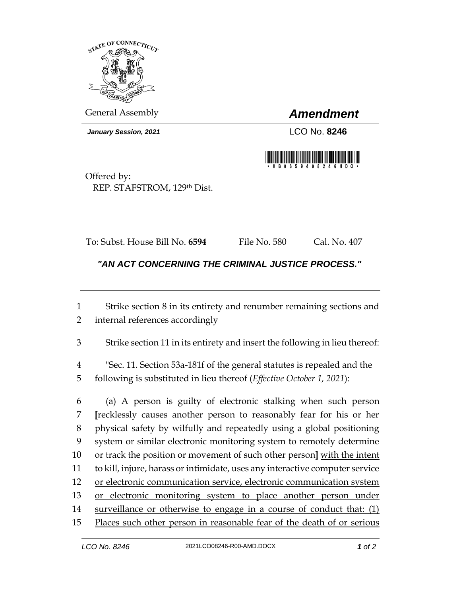

General Assembly *Amendment*

*January Session, 2021* LCO No. **8246**



Offered by: REP. STAFSTROM, 129th Dist.

To: Subst. House Bill No. **6594** File No. 580 Cal. No. 407

*"AN ACT CONCERNING THE CRIMINAL JUSTICE PROCESS."* 

1 Strike section 8 in its entirety and renumber remaining sections and 2 internal references accordingly

3 Strike section 11 in its entirety and insert the following in lieu thereof:

4 "Sec. 11. Section 53a-181f of the general statutes is repealed and the 5 following is substituted in lieu thereof (*Effective October 1, 2021*):

 (a) A person is guilty of electronic stalking when such person **[**recklessly causes another person to reasonably fear for his or her physical safety by wilfully and repeatedly using a global positioning system or similar electronic monitoring system to remotely determine or track the position or movement of such other person**]** with the intent to kill, injure, harass or intimidate, uses any interactive computer service 12 or electronic communication service, electronic communication system 13 or electronic monitoring system to place another person under 14 surveillance or otherwise to engage in a course of conduct that: (1) Places such other person in reasonable fear of the death of or [serious](https://www.law.cornell.edu/definitions/uscode.php?width=840&height=800&iframe=true&def_id=18-USC-402227300-1416750995&term_occur=999&term_src=title:18:part:I:chapter:110A:section:2261A)